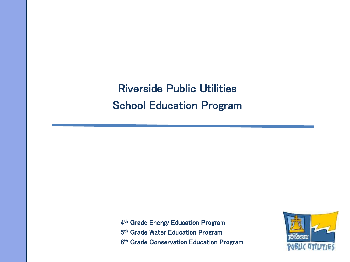Riverside Public Utilities School Education Program

4<sup>th</sup> Grade Energy Education Program 5<sup>th</sup> Grade Water Education Program 6<sup>th</sup> Grade Conservation Education Program

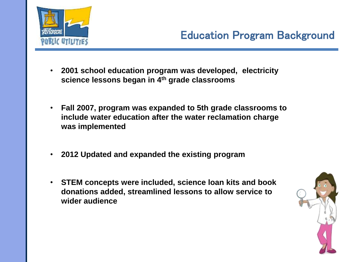

- **2001 school education program was developed, electricity science lessons began in 4th grade classrooms**
- **Fall 2007, program was expanded to 5th grade classrooms to include water education after the water reclamation charge was implemented**
- **2012 Updated and expanded the existing program**
- **STEM concepts were included, science loan kits and book donations added, streamlined lessons to allow service to wider audience**

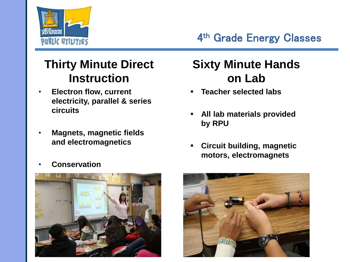

4<sup>th</sup> Grade Energy Classes

# **Thirty Minute Direct Instruction**

- **Electron flow, current electricity, parallel & series circuits**
- **Magnets, magnetic fields and electromagnetics**
- **Conservation**



# **Sixty Minute Hands on Lab**

- **Teacher selected labs**
- **All lab materials provided by RPU**
- **Circuit building, magnetic motors, electromagnets**

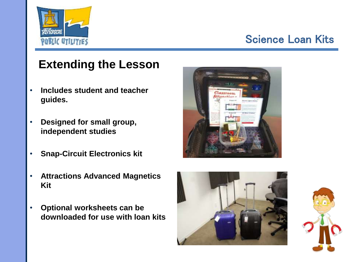

## Science Loan Kits

# **Extending the Lesson**

- **Includes student and teacher guides.**
- **Designed for small group, independent studies**
- **Snap-Circuit Electronics kit**
- **Attractions Advanced Magnetics Kit**
- **Optional worksheets can be downloaded for use with loan kits**





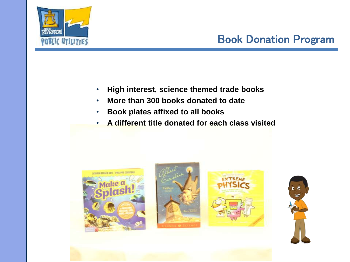

# Book Donation Program

- **High interest, science themed trade books**
- **More than 300 books donated to date**
- **Book plates affixed to all books**
- **A different title donated for each class visited**







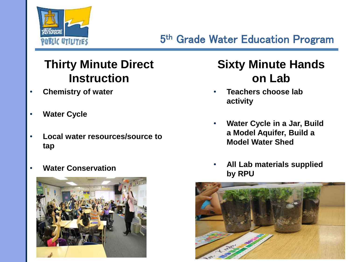

# **Thirty Minute Direct Instruction**

- **Chemistry of water**
- **Water Cycle**
- **Local water resources/source to tap**
- **Water Conservation**



# **Sixty Minute Hands on Lab**

- **Teachers choose lab activity**
- **Water Cycle in a Jar, Build a Model Aquifer, Build a Model Water Shed**
- **All Lab materials supplied by RPU**

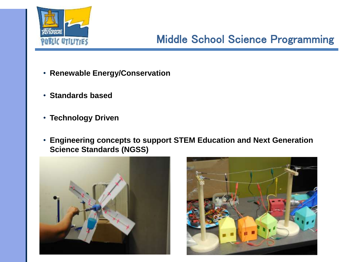

# Middle School Science Programming

- **Renewable Energy/Conservation**
- **Standards based**
- **Technology Driven**
- **Engineering concepts to support STEM Education and Next Generation Science Standards (NGSS)**



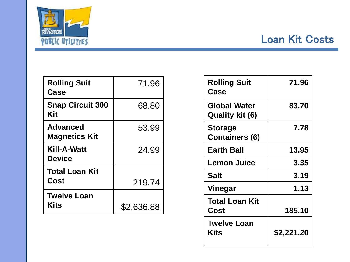

### Loan Kit Costs

| <b>Rolling Suit</b><br>Case             | 71.96      |
|-----------------------------------------|------------|
| <b>Snap Circuit 300</b><br>Kit          | 68.80      |
| <b>Advanced</b><br><b>Magnetics Kit</b> | 53.99      |
| Kill-A-Watt<br><b>Device</b>            | 24.99      |
| <b>Total Loan Kit</b><br>Cost           | 219.74     |
| <b>Twelve Loan</b><br><b>Kits</b>       | \$2,636.88 |

| <b>Rolling Suit</b><br>Case            | 71.96      |
|----------------------------------------|------------|
| <b>Global Water</b><br>Quality kit (6) | 83.70      |
| Storage<br><b>Containers (6)</b>       | 7.78       |
| <b>Earth Ball</b>                      | 13.95      |
| <b>Lemon Juice</b>                     | 3.35       |
| Salt                                   | 3.19       |
| Vinegar                                | 1.13       |
| Total Loan Kit<br>Cost                 | 185.10     |
| <b>Twelve Loan</b><br>Kits             | \$2,221.20 |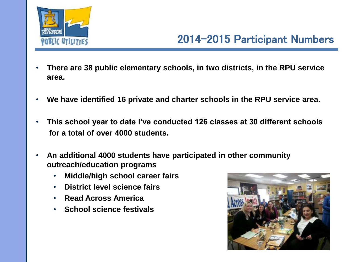

#### 2014-2015 Participant Numbers

- **There are 38 public elementary schools, in two districts, in the RPU service area.**
- **We have identified 16 private and charter schools in the RPU service area.**
- **This school year to date I've conducted 126 classes at 30 different schools for a total of over 4000 students.**
- **An additional 4000 students have participated in other community outreach/education programs**
	- **Middle/high school career fairs**
	- **District level science fairs**
	- **Read Across America**
	- **School science festivals**

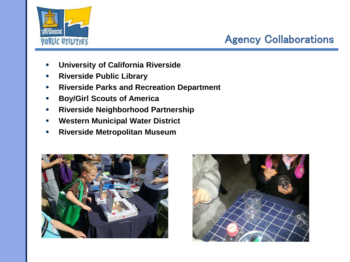

# Agency Collaborations

- **University of California Riverside**
- **Riverside Public Library**
- **Riverside Parks and Recreation Department**
- **Boy/Girl Scouts of America**
- **Riverside Neighborhood Partnership**
- **Western Municipal Water District**
- **Riverside Metropolitan Museum**



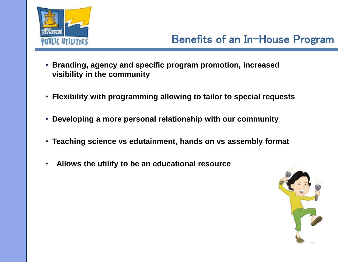

#### Benefits of an In-House Program

- **Branding, agency and specific program promotion, increased visibility in the community**
- **Flexibility with programming allowing to tailor to special requests**
- **Developing a more personal relationship with our community**
- **Teaching science vs edutainment, hands on vs assembly format**
- **Allows the utility to be an educational resource**